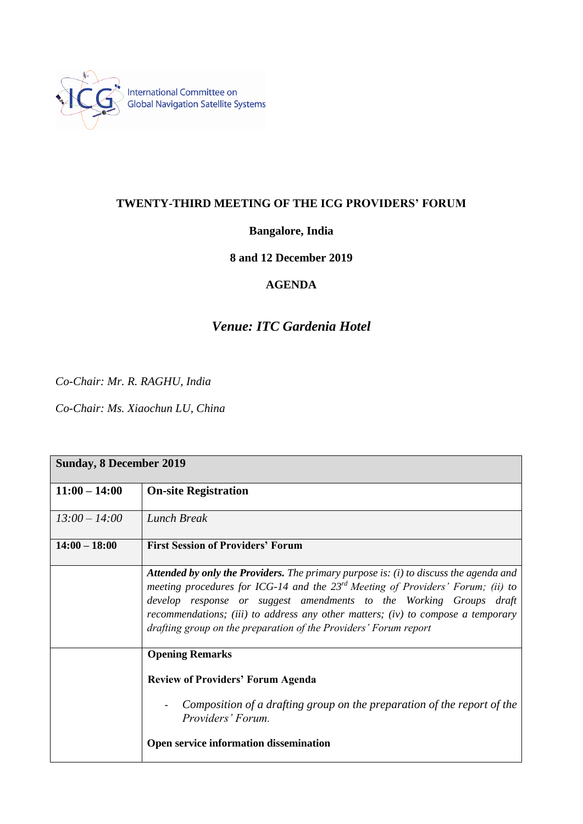

## **TWENTY-THIRD MEETING OF THE ICG PROVIDERS' FORUM**

### **Bangalore, India**

#### **8 and 12 December 2019**

## **AGENDA**

# *Venue: ITC Gardenia Hotel*

*Co-Chair: Mr. R. RAGHU, India*

*Co-Chair: Ms. Xiaochun LU, China*

| <b>Sunday, 8 December 2019</b> |                                                                                                                                                                                                                                                                                                                                                                                                                      |
|--------------------------------|----------------------------------------------------------------------------------------------------------------------------------------------------------------------------------------------------------------------------------------------------------------------------------------------------------------------------------------------------------------------------------------------------------------------|
| $11:00 - 14:00$                | <b>On-site Registration</b>                                                                                                                                                                                                                                                                                                                                                                                          |
| $13:00 - 14:00$                | Lunch Break                                                                                                                                                                                                                                                                                                                                                                                                          |
| $14:00 - 18:00$                | <b>First Session of Providers' Forum</b>                                                                                                                                                                                                                                                                                                                                                                             |
|                                | <b>Attended by only the Providers.</b> The primary purpose is: $(i)$ to discuss the agenda and<br>meeting procedures for ICG-14 and the $23^{rd}$ Meeting of Providers' Forum; (ii) to<br>develop response or suggest amendments to the Working Groups draft<br>recommendations; (iii) to address any other matters; (iv) to compose a temporary<br>drafting group on the preparation of the Providers' Forum report |
|                                | <b>Opening Remarks</b>                                                                                                                                                                                                                                                                                                                                                                                               |
|                                | <b>Review of Providers' Forum Agenda</b>                                                                                                                                                                                                                                                                                                                                                                             |
|                                | Composition of a drafting group on the preparation of the report of the<br>Providers' Forum.                                                                                                                                                                                                                                                                                                                         |
|                                | Open service information dissemination                                                                                                                                                                                                                                                                                                                                                                               |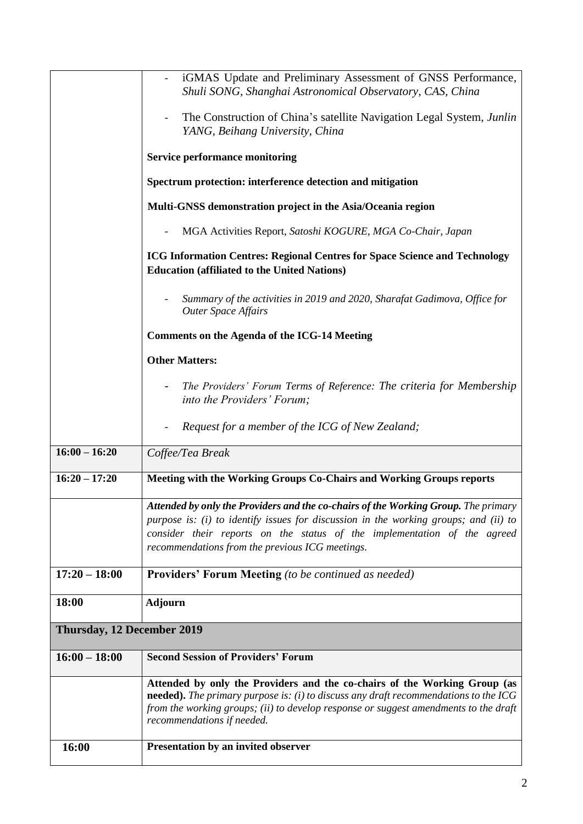|                            | iGMAS Update and Preliminary Assessment of GNSS Performance,                                                                                                                                                                                                                                              |
|----------------------------|-----------------------------------------------------------------------------------------------------------------------------------------------------------------------------------------------------------------------------------------------------------------------------------------------------------|
|                            | Shuli SONG, Shanghai Astronomical Observatory, CAS, China                                                                                                                                                                                                                                                 |
|                            | The Construction of China's satellite Navigation Legal System, Junlin<br>YANG, Beihang University, China                                                                                                                                                                                                  |
|                            | <b>Service performance monitoring</b>                                                                                                                                                                                                                                                                     |
|                            | Spectrum protection: interference detection and mitigation                                                                                                                                                                                                                                                |
|                            | Multi-GNSS demonstration project in the Asia/Oceania region                                                                                                                                                                                                                                               |
|                            | MGA Activities Report, Satoshi KOGURE, MGA Co-Chair, Japan                                                                                                                                                                                                                                                |
|                            | <b>ICG Information Centres: Regional Centres for Space Science and Technology</b><br><b>Education (affiliated to the United Nations)</b>                                                                                                                                                                  |
|                            | Summary of the activities in 2019 and 2020, Sharafat Gadimova, Office for<br><b>Outer Space Affairs</b>                                                                                                                                                                                                   |
|                            | <b>Comments on the Agenda of the ICG-14 Meeting</b>                                                                                                                                                                                                                                                       |
|                            | <b>Other Matters:</b>                                                                                                                                                                                                                                                                                     |
|                            | The Providers' Forum Terms of Reference: The criteria for Membership<br>$\overline{\phantom{a}}$<br>into the Providers' Forum;                                                                                                                                                                            |
|                            | Request for a member of the ICG of New Zealand;                                                                                                                                                                                                                                                           |
| $16:00 - 16:20$            | Coffee/Tea Break                                                                                                                                                                                                                                                                                          |
| $16:20 - 17:20$            | Meeting with the Working Groups Co-Chairs and Working Groups reports                                                                                                                                                                                                                                      |
|                            | Attended by only the Providers and the co-chairs of the Working Group. The primary<br>purpose is: (i) to identify issues for discussion in the working groups; and (ii) to<br>consider their reports on the status of the implementation of the agreed<br>recommendations from the previous ICG meetings. |
| $17:20 - 18:00$            | <b>Providers' Forum Meeting</b> (to be continued as needed)                                                                                                                                                                                                                                               |
| 18:00                      | <b>Adjourn</b>                                                                                                                                                                                                                                                                                            |
| Thursday, 12 December 2019 |                                                                                                                                                                                                                                                                                                           |
| $16:00 - 18:00$            | <b>Second Session of Providers' Forum</b>                                                                                                                                                                                                                                                                 |
|                            | Attended by only the Providers and the co-chairs of the Working Group (as<br>needed). The primary purpose is: $(i)$ to discuss any draft recommendations to the ICG<br>from the working groups; (ii) to develop response or suggest amendments to the draft<br>recommendations if needed.                 |
| 16:00                      | Presentation by an invited observer                                                                                                                                                                                                                                                                       |